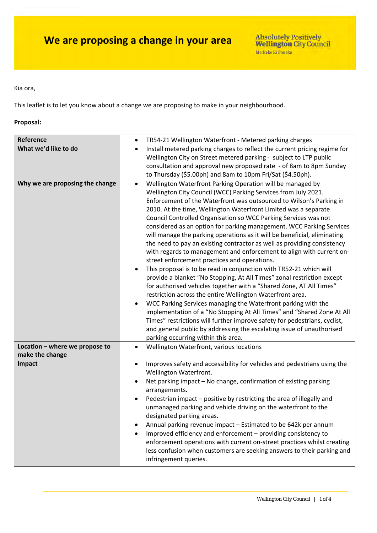Kia ora,

This leaflet is to let you know about a change we are proposing to make in your neighbourhood.

### **Proposal:**

| Reference                                         | TR54-21 Wellington Waterfront - Metered parking charges<br>$\bullet$                                                                                                                                                                                                                                                                                                                                                                                                                                                                                                                                                                                                                                                                                                                                                                                                                                                                                                                                                                                                                                                                                                                                                                                                                                                                                                |  |  |
|---------------------------------------------------|---------------------------------------------------------------------------------------------------------------------------------------------------------------------------------------------------------------------------------------------------------------------------------------------------------------------------------------------------------------------------------------------------------------------------------------------------------------------------------------------------------------------------------------------------------------------------------------------------------------------------------------------------------------------------------------------------------------------------------------------------------------------------------------------------------------------------------------------------------------------------------------------------------------------------------------------------------------------------------------------------------------------------------------------------------------------------------------------------------------------------------------------------------------------------------------------------------------------------------------------------------------------------------------------------------------------------------------------------------------------|--|--|
| What we'd like to do                              | Install metered parking charges to reflect the current pricing regime for<br>$\bullet$<br>Wellington City on Street metered parking - subject to LTP public<br>consultation and approval new proposed rate - of 8am to 8pm Sunday<br>to Thursday (\$5.00ph) and 8am to 10pm Fri/Sat (\$4.50ph).                                                                                                                                                                                                                                                                                                                                                                                                                                                                                                                                                                                                                                                                                                                                                                                                                                                                                                                                                                                                                                                                     |  |  |
| Why we are proposing the change                   | Wellington Waterfront Parking Operation will be managed by<br>$\bullet$<br>Wellington City Council (WCC) Parking Services from July 2021.<br>Enforcement of the Waterfront was outsourced to Wilson's Parking in<br>2010. At the time, Wellington Waterfront Limited was a separate<br>Council Controlled Organisation so WCC Parking Services was not<br>considered as an option for parking management. WCC Parking Services<br>will manage the parking operations as it will be beneficial, eliminating<br>the need to pay an existing contractor as well as providing consistency<br>with regards to management and enforcement to align with current on-<br>street enforcement practices and operations.<br>This proposal is to be read in conjunction with TR52-21 which will<br>$\bullet$<br>provide a blanket "No Stopping, At All Times" zonal restriction except<br>for authorised vehicles together with a "Shared Zone, AT All Times"<br>restriction across the entire Wellington Waterfront area.<br>WCC Parking Services managing the Waterfront parking with the<br>$\bullet$<br>implementation of a "No Stopping At All Times" and "Shared Zone At All<br>Times" restrictions will further improve safety for pedestrians, cyclist,<br>and general public by addressing the escalating issue of unauthorised<br>parking occurring within this area. |  |  |
| Location - where we propose to<br>make the change | Wellington Waterfront, various locations                                                                                                                                                                                                                                                                                                                                                                                                                                                                                                                                                                                                                                                                                                                                                                                                                                                                                                                                                                                                                                                                                                                                                                                                                                                                                                                            |  |  |
| Impact                                            | Improves safety and accessibility for vehicles and pedestrians using the<br>$\bullet$<br>Wellington Waterfront.<br>Net parking impact - No change, confirmation of existing parking<br>arrangements.<br>Pedestrian impact - positive by restricting the area of illegally and<br>unmanaged parking and vehicle driving on the waterfront to the<br>designated parking areas.<br>Annual parking revenue impact - Estimated to be 642k per annum<br>٠<br>Improved efficiency and enforcement - providing consistency to<br>enforcement operations with current on-street practices whilst creating<br>less confusion when customers are seeking answers to their parking and<br>infringement queries.                                                                                                                                                                                                                                                                                                                                                                                                                                                                                                                                                                                                                                                                 |  |  |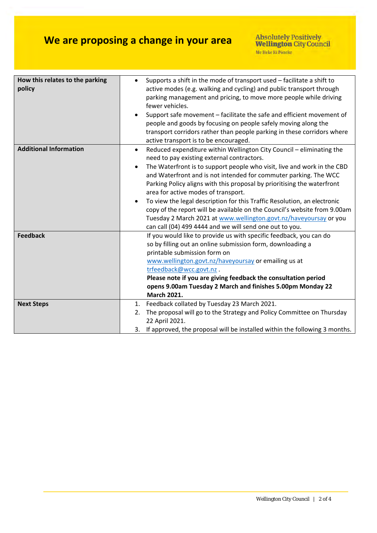# **We are proposing a change in your area**

| How this relates to the parking<br>policy | Supports a shift in the mode of transport used - facilitate a shift to<br>$\bullet$<br>active modes (e.g. walking and cycling) and public transport through<br>parking management and pricing, to move more people while driving<br>fewer vehicles.<br>Support safe movement - facilitate the safe and efficient movement of<br>$\bullet$<br>people and goods by focusing on people safely moving along the<br>transport corridors rather than people parking in these corridors where<br>active transport is to be encouraged.                                                                                                                                                                        |
|-------------------------------------------|--------------------------------------------------------------------------------------------------------------------------------------------------------------------------------------------------------------------------------------------------------------------------------------------------------------------------------------------------------------------------------------------------------------------------------------------------------------------------------------------------------------------------------------------------------------------------------------------------------------------------------------------------------------------------------------------------------|
| <b>Additional Information</b>             | Reduced expenditure within Wellington City Council - eliminating the<br>$\bullet$<br>need to pay existing external contractors.<br>The Waterfront is to support people who visit, live and work in the CBD<br>and Waterfront and is not intended for commuter parking. The WCC<br>Parking Policy aligns with this proposal by prioritising the waterfront<br>area for active modes of transport.<br>To view the legal description for this Traffic Resolution, an electronic<br>$\bullet$<br>copy of the report will be available on the Council's website from 9.00am<br>Tuesday 2 March 2021 at www.wellington.govt.nz/haveyoursay or you<br>can call (04) 499 4444 and we will send one out to you. |
| <b>Feedback</b>                           | If you would like to provide us with specific feedback, you can do<br>so by filling out an online submission form, downloading a<br>printable submission form on<br>www.wellington.govt.nz/haveyoursay or emailing us at<br>trfeedback@wcc.govt.nz.<br>Please note if you are giving feedback the consultation period<br>opens 9.00am Tuesday 2 March and finishes 5.00pm Monday 22<br><b>March 2021.</b>                                                                                                                                                                                                                                                                                              |
| <b>Next Steps</b>                         | 1. Feedback collated by Tuesday 23 March 2021.<br>The proposal will go to the Strategy and Policy Committee on Thursday<br>2.<br>22 April 2021.<br>3. If approved, the proposal will be installed within the following 3 months.                                                                                                                                                                                                                                                                                                                                                                                                                                                                       |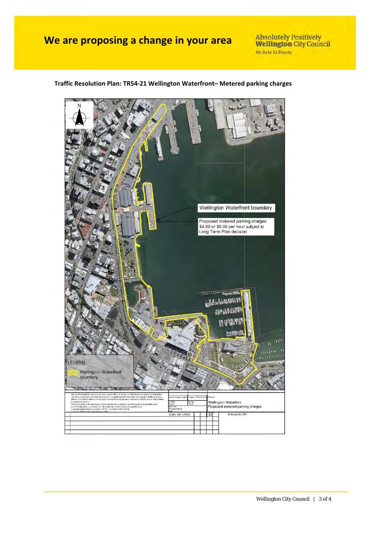### **We are proposing a change in your area**

Absolutely Positively<br>Wellington City Council Me Heke Ki Pôneke

### **Traffic Resolution Plan: TR54‐21 Wellington Waterfront– Metered parking charges**